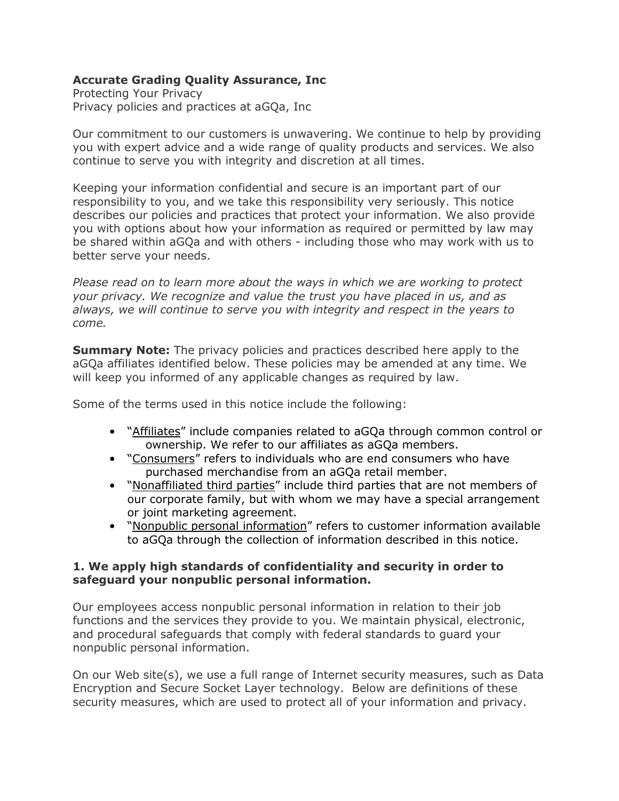# **Accurate Grading Quality Assurance, Inc**

Protecting Your Privacy Privacy policies and practices at aGQa, Inc

Our commitment to our customers is unwavering. We continue to help by providing you with expert advice and a wide range of quality products and services. We also continue to serve you with integrity and discretion at all times.

Keeping your information confidential and secure is an important part of our responsibility to you, and we take this responsibility very seriously. This notice describes our policies and practices that protect your information. We also provide you with options about how your information as required or permitted by law may be shared within aGQa and with others - including those who may work with us to better serve your needs.

*Please read on to learn more about the ways in which we are working to protect your privacy. We recognize and value the trust you have placed in us, and as always, we will continue to serve you with integrity and respect in the years to come.*

**Summary Note:** The privacy policies and practices described here apply to the aGQa affiliates identified below. These policies may be amended at any time. We will keep you informed of any applicable changes as required by law.

Some of the terms used in this notice include the following:

- "Affiliates" include companies related to aGQa through common control or ownership. We refer to our affiliates as aGQa members.
- "Consumers" refers to individuals who are end consumers who have purchased merchandise from an aGQa retail member.
- "Nonaffiliated third parties" include third parties that are not members of our corporate family, but with whom we may have a special arrangement or joint marketing agreement.
- "Nonpublic personal information" refers to customer information available to aGQa through the collection of information described in this notice.

# **1. We apply high standards of confidentiality and security in order to safeguard your nonpublic personal information.**

Our employees access nonpublic personal information in relation to their job functions and the services they provide to you. We maintain physical, electronic, and procedural safeguards that comply with federal standards to guard your nonpublic personal information.

On our Web site(s), we use a full range of Internet security measures, such as Data Encryption and Secure Socket Layer technology. Below are definitions of these security measures, which are used to protect all of your information and privacy.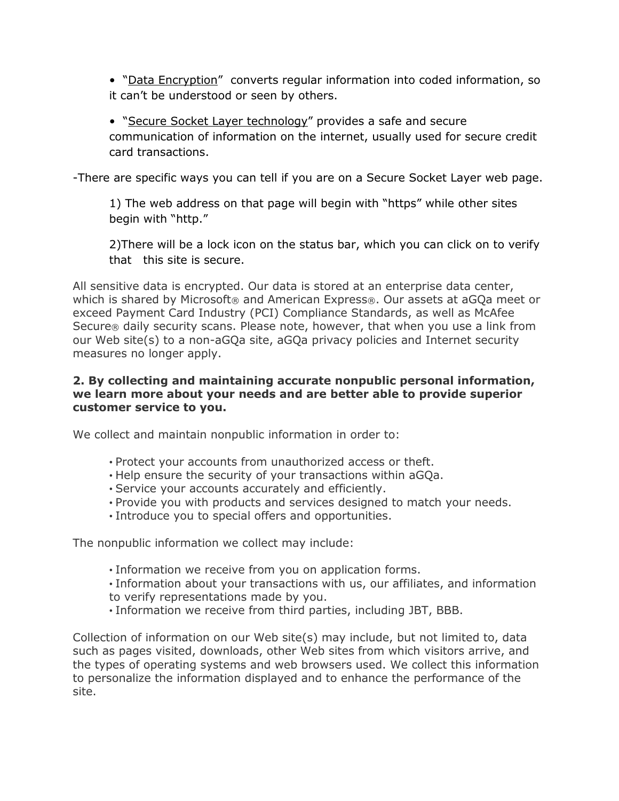• "Data Encryption" converts regular information into coded information, so it can't be understood or seen by others.

• "Secure Socket Layer technology" provides a safe and secure communication of information on the internet, usually used for secure credit card transactions.

-There are specific ways you can tell if you are on a Secure Socket Layer web page.

1) The web address on that page will begin with "https" while other sites begin with "http."

2)There will be a lock icon on the status bar, which you can click on to verify that this site is secure.

All sensitive data is encrypted. Our data is stored at an enterprise data center, which is shared by Microsoft® and American Express®. Our assets at aGQa meet or exceed Payment Card Industry (PCI) Compliance Standards, as well as McAfee Secure® daily security scans. Please note, however, that when you use a link from our Web site(s) to a non-aGQa site, aGQa privacy policies and Internet security measures no longer apply.

# **2. By collecting and maintaining accurate nonpublic personal information, we learn more about your needs and are better able to provide superior customer service to you.**

We collect and maintain nonpublic information in order to:

- Protect your accounts from unauthorized access or theft.
- Help ensure the security of your transactions within aGQa.
- Service your accounts accurately and efficiently.
- Provide you with products and services designed to match your needs.
- Introduce you to special offers and opportunities.

The nonpublic information we collect may include:

- Information we receive from you on application forms.
- Information about your transactions with us, our affiliates, and information to verify representations made by you.
- Information we receive from third parties, including JBT, BBB.

Collection of information on our Web site(s) may include, but not limited to, data such as pages visited, downloads, other Web sites from which visitors arrive, and the types of operating systems and web browsers used. We collect this information to personalize the information displayed and to enhance the performance of the site.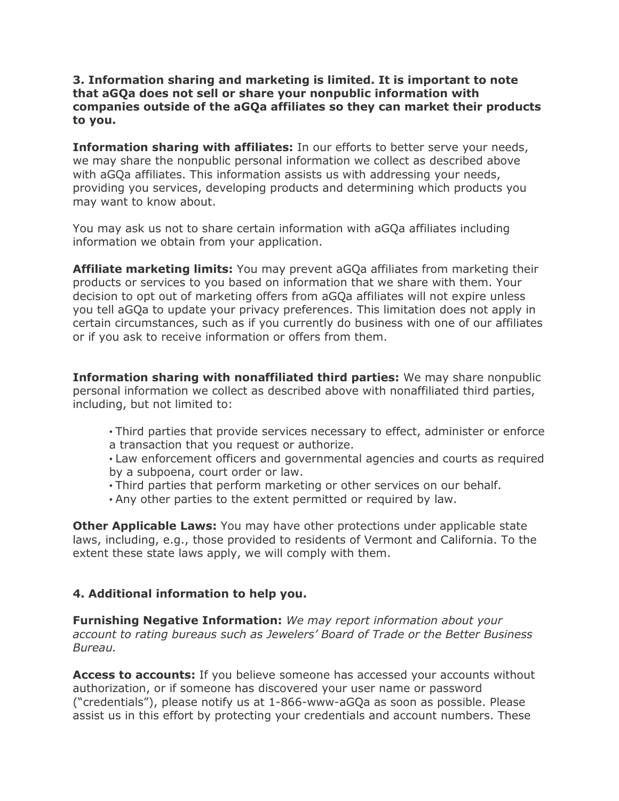### **3. Information sharing and marketing is limited. It is important to note that aGQa does not sell or share your nonpublic information with companies outside of the aGQa affiliates so they can market their products to you.**

**Information sharing with affiliates:** In our efforts to better serve your needs, we may share the nonpublic personal information we collect as described above with aGQa affiliates. This information assists us with addressing your needs, providing you services, developing products and determining which products you may want to know about.

You may ask us not to share certain information with aGQa affiliates including information we obtain from your application.

**Affiliate marketing limits:** You may prevent aGQa affiliates from marketing their products or services to you based on information that we share with them. Your decision to opt out of marketing offers from aGQa affiliates will not expire unless you tell aGQa to update your privacy preferences. This limitation does not apply in certain circumstances, such as if you currently do business with one of our affiliates or if you ask to receive information or offers from them.

**Information sharing with nonaffiliated third parties:** We may share nonpublic personal information we collect as described above with nonaffiliated third parties, including, but not limited to:

• Third parties that provide services necessary to effect, administer or enforce a transaction that you request or authorize.

• Law enforcement officers and governmental agencies and courts as required by a subpoena, court order or law.

- Third parties that perform marketing or other services on our behalf.
- Any other parties to the extent permitted or required by law.

**Other Applicable Laws:** You may have other protections under applicable state laws, including, e.g., those provided to residents of Vermont and California. To the extent these state laws apply, we will comply with them.

# **4. Additional information to help you.**

**Furnishing Negative Information:** *We may report information about your account to rating bureaus such as Jewelers' Board of Trade or the Better Business Bureau.*

**Access to accounts:** If you believe someone has accessed your accounts without authorization, or if someone has discovered your user name or password ("credentials"), please notify us at 1-866-www-aGQa as soon as possible. Please assist us in this effort by protecting your credentials and account numbers. These